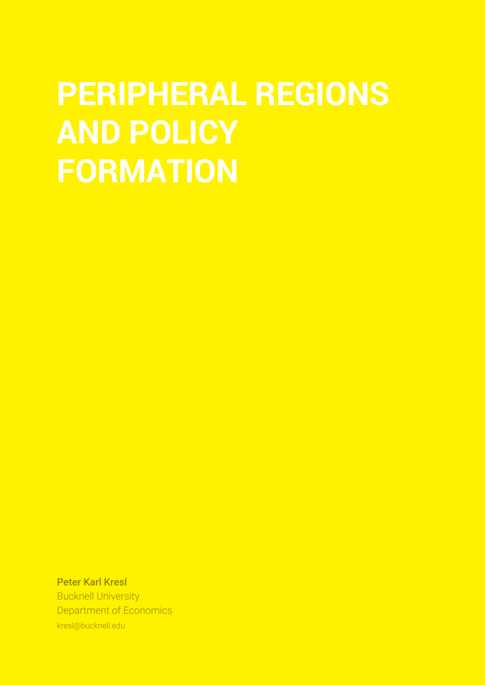# **PERIPHERAL REGIONS AND POLICY FORMATION**

Peter Karl Kresl Bucknell University Department of Economics kresl@bucknell.edu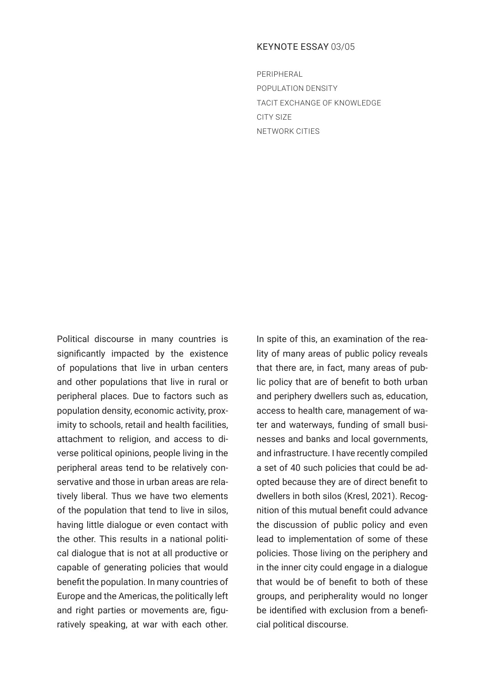## KEYNOTE ESSAY 03/05

PERIPHERAL POPULATION DENSITY TACIT EXCHANGE OF KNOWLEDGE CITY SIZE NETWORK CITIES

Political discourse in many countries is significantly impacted by the existence of populations that live in urban centers and other populations that live in rural or peripheral places. Due to factors such as population density, economic activity, proximity to schools, retail and health facilities, attachment to religion, and access to diverse political opinions, people living in the peripheral areas tend to be relatively conservative and those in urban areas are relatively liberal. Thus we have two elements of the population that tend to live in silos, having little dialogue or even contact with the other. This results in a national political dialogue that is not at all productive or capable of generating policies that would benefit the population. In many countries of Europe and the Americas, the politically left and right parties or movements are, figuratively speaking, at war with each other.

In spite of this, an examination of the reality of many areas of public policy reveals that there are, in fact, many areas of public policy that are of benefit to both urban and periphery dwellers such as, education, access to health care, management of water and waterways, funding of small businesses and banks and local governments, and infrastructure. I have recently compiled a set of 40 such policies that could be adopted because they are of direct benefit to dwellers in both silos (Kresl, 2021). Recognition of this mutual benefit could advance the discussion of public policy and even lead to implementation of some of these policies. Those living on the periphery and in the inner city could engage in a dialogue that would be of benefit to both of these groups, and peripherality would no longer be identified with exclusion from a beneficial political discourse.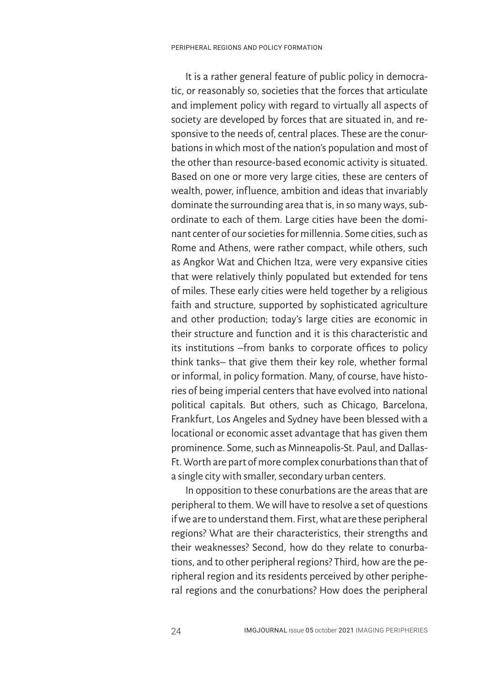It is a rather general feature of public policy in democratic, or reasonably so, societies that the forces that articulate and implement policy with regard to virtually all aspects of society are developed by forces that are situated in, and responsive to the needs of, central places. These are the conurbations in which most of the nation's population and most of the other than resource-based economic activity is situated. Based on one or more very large cities, these are centers of wealth, power, influence, ambition and ideas that invariably dominate the surrounding area that is, in so many ways, subordinate to each of them. Large cities have been the dominant center of our societies for millennia. Some cities, such as Rome and Athens, were rather compact, while others, such as Angkor Wat and Chichen Itza, were very expansive cities that were relatively thinly populated but extended for tens of miles. These early cities were held together by a religious faith and structure, supported by sophisticated agriculture and other production; today's large cities are economic in their structure and function and it is this characteristic and its institutions –from banks to corporate offices to policy think tanks– that give them their key role, whether formal or informal, in policy formation. Many, of course, have histories of being imperial centers that have evolved into national political capitals. But others, such as Chicago, Barcelona, Frankfurt, Los Angeles and Sydney have been blessed with a locational or economic asset advantage that has given them prominence. Some, such as Minneapolis-St. Paul, and Dallas-Ft. Worth are part of more complex conurbations than that of a single city with smaller, secondary urban centers.

In opposition to these conurbations are the areas that are peripheral to them. We will have to resolve a set of questions if we are to understand them. First, what are these peripheral regions? What are their characteristics, their strengths and their weaknesses? Second, how do they relate to conurbations, and to other peripheral regions? Third, how are the peripheral region and its residents perceived by other peripheral regions and the conurbations? How does the peripheral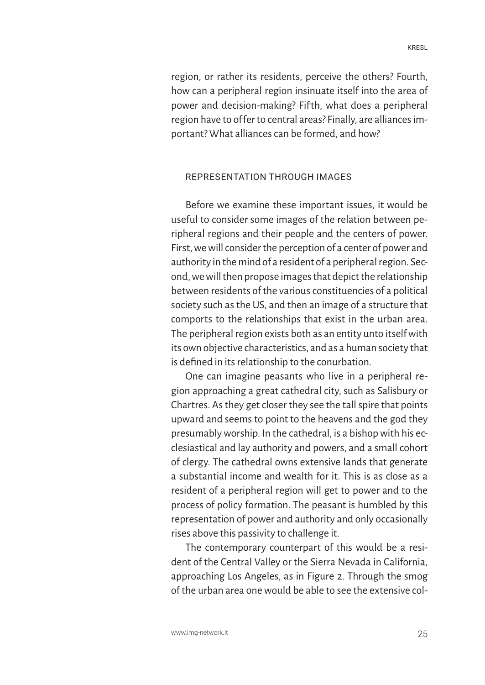region, or rather its residents, perceive the others? Fourth, how can a peripheral region insinuate itself into the area of power and decision-making? Fifth, what does a peripheral region have to offer to central areas? Finally, are alliances important? What alliances can be formed, and how?

## REPRESENTATION THROUGH IMAGES

Before we examine these important issues, it would be useful to consider some images of the relation between peripheral regions and their people and the centers of power. First, we will consider the perception of a center of power and authority in the mind of a resident of a peripheral region. Second, we will then propose images that depict the relationship between residents of the various constituencies of a political society such as the US, and then an image of a structure that comports to the relationships that exist in the urban area. The peripheral region exists both as an entity unto itself with its own objective characteristics, and as a human society that is defined in its relationship to the conurbation.

One can imagine peasants who live in a peripheral region approaching a great cathedral city, such as Salisbury or Chartres. As they get closer they see the tall spire that points upward and seems to point to the heavens and the god they presumably worship. In the cathedral, is a bishop with his ecclesiastical and lay authority and powers, and a small cohort of clergy. The cathedral owns extensive lands that generate a substantial income and wealth for it. This is as close as a resident of a peripheral region will get to power and to the process of policy formation. The peasant is humbled by this representation of power and authority and only occasionally rises above this passivity to challenge it.

The contemporary counterpart of this would be a resident of the Central Valley or the Sierra Nevada in California, approaching Los Angeles, as in Figure 2. Through the smog of the urban area one would be able to see the extensive col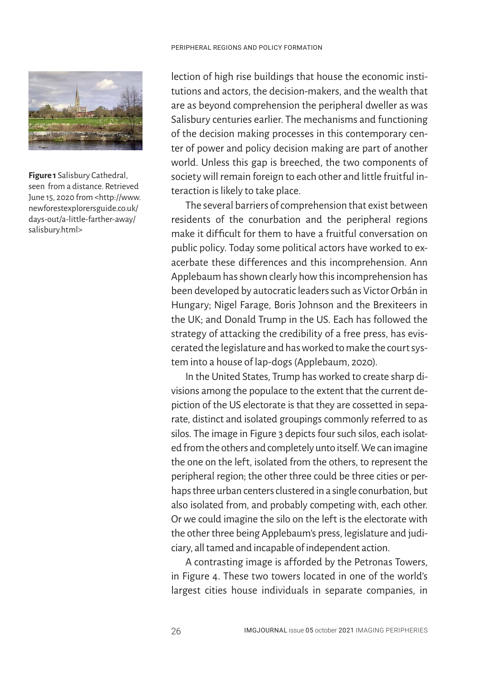

**Figure 1** Salisbury Cathedral, seen from a distance. Retrieved June 15, 2020 from <http://www. newforestexplorersguide.co.uk/ days-out/a-little-farther-away/ salisbury.html>

lection of high rise buildings that house the economic institutions and actors, the decision-makers, and the wealth that are as beyond comprehension the peripheral dweller as was Salisbury centuries earlier. The mechanisms and functioning of the decision making processes in this contemporary center of power and policy decision making are part of another world. Unless this gap is breeched, the two components of society will remain foreign to each other and little fruitful interaction is likely to take place.

The several barriers of comprehension that exist between residents of the conurbation and the peripheral regions make it difficult for them to have a fruitful conversation on public policy. Today some political actors have worked to exacerbate these differences and this incomprehension. Ann Applebaum has shown clearly how this incomprehension has been developed by autocratic leaders such as Victor Orbán in Hungary; Nigel Farage, Boris Johnson and the Brexiteers in the UK; and Donald Trump in the US. Each has followed the strategy of attacking the credibility of a free press, has eviscerated the legislature and has worked to make the court system into a house of lap-dogs (Applebaum, 2020).

In the United States, Trump has worked to create sharp divisions among the populace to the extent that the current depiction of the US electorate is that they are cossetted in separate, distinct and isolated groupings commonly referred to as silos. The image in Figure 3 depicts four such silos, each isolated from the others and completely unto itself. We can imagine the one on the left, isolated from the others, to represent the peripheral region; the other three could be three cities or perhaps three urban centers clustered in a single conurbation, but also isolated from, and probably competing with, each other. Or we could imagine the silo on the left is the electorate with the other three being Applebaum's press, legislature and judiciary, all tamed and incapable of independent action.

A contrasting image is afforded by the Petronas Towers, in Figure 4. These two towers located in one of the world's largest cities house individuals in separate companies, in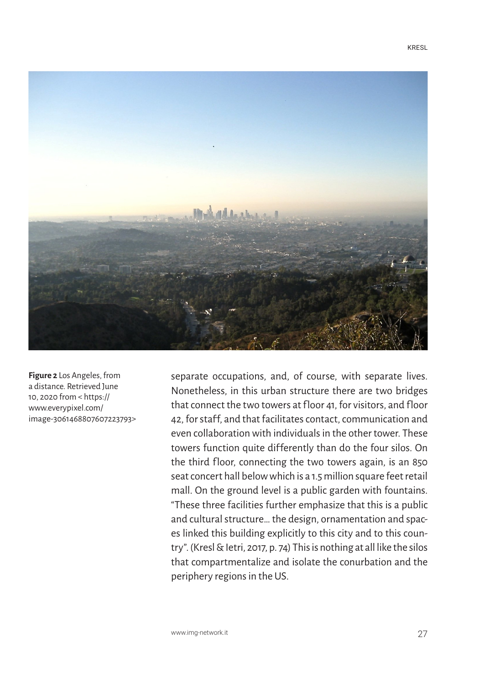

**Figure 2** Los Angeles, from a distance. Retrieved June 10, 2020 from < https:// www.everypixel.com/ image-3061468807607223793>

separate occupations, and, of course, with separate lives. Nonetheless, in this urban structure there are two bridges that connect the two towers at floor 41, for visitors, and floor 42, for staff, and that facilitates contact, communication and even collaboration with individuals in the other tower. These towers function quite differently than do the four silos. On the third floor, connecting the two towers again, is an 850 seat concert hall below which is a 1.5 million square feet retail mall. On the ground level is a public garden with fountains. "These three facilities further emphasize that this is a public and cultural structure… the design, ornamentation and spaces linked this building explicitly to this city and to this country". (Kresl & Ietri, 2017, p. 74) This is nothing at all like the silos that compartmentalize and isolate the conurbation and the periphery regions in the US.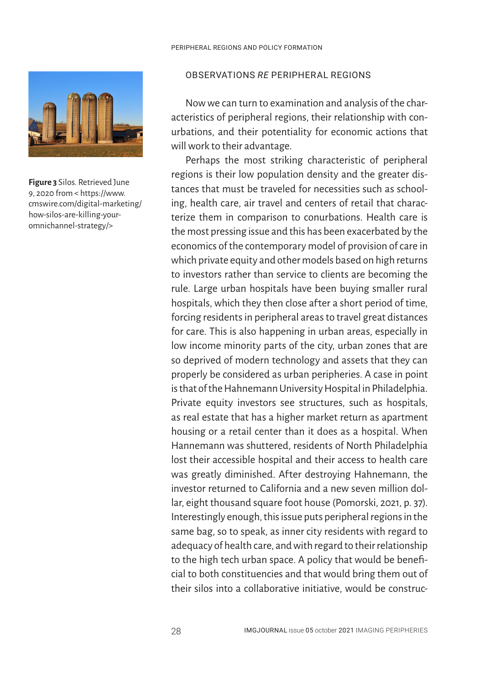

**Figure 3** Silos. Retrieved June 9, 2020 from < https://www. cmswire.com/digital-marketing/ how-silos-are-killing-youromnichannel-strategy/>

## OBSERVATIONS *RE* PERIPHERAL REGIONS

Now we can turn to examination and analysis of the characteristics of peripheral regions, their relationship with conurbations, and their potentiality for economic actions that will work to their advantage.

Perhaps the most striking characteristic of peripheral regions is their low population density and the greater distances that must be traveled for necessities such as schooling, health care, air travel and centers of retail that characterize them in comparison to conurbations. Health care is the most pressing issue and this has been exacerbated by the economics of the contemporary model of provision of care in which private equity and other models based on high returns to investors rather than service to clients are becoming the rule. Large urban hospitals have been buying smaller rural hospitals, which they then close after a short period of time, forcing residents in peripheral areas to travel great distances for care. This is also happening in urban areas, especially in low income minority parts of the city, urban zones that are so deprived of modern technology and assets that they can properly be considered as urban peripheries. A case in point is that of the Hahnemann University Hospital in Philadelphia. Private equity investors see structures, such as hospitals, as real estate that has a higher market return as apartment housing or a retail center than it does as a hospital. When Hannemann was shuttered, residents of North Philadelphia lost their accessible hospital and their access to health care was greatly diminished. After destroying Hahnemann, the investor returned to California and a new seven million dollar, eight thousand square foot house (Pomorski, 2021, p. 37). Interestingly enough, this issue puts peripheral regions in the same bag, so to speak, as inner city residents with regard to adequacy of health care, and with regard to their relationship to the high tech urban space. A policy that would be beneficial to both constituencies and that would bring them out of their silos into a collaborative initiative, would be construc-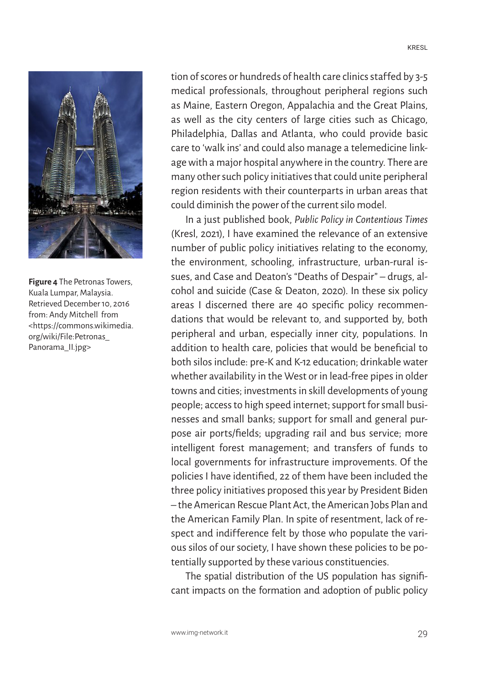

**Figure 4** The Petronas Towers, Kuala Lumpar, Malaysia. Retrieved December 10, 2016 from: Andy Mitchell from <https://commons.wikimedia. org/wiki/File:Petronas\_ Panorama\_II.jpg>

tion of scores or hundreds of health care clinics staffed by 3-5 medical professionals, throughout peripheral regions such as Maine, Eastern Oregon, Appalachia and the Great Plains, as well as the city centers of large cities such as Chicago, Philadelphia, Dallas and Atlanta, who could provide basic care to 'walk ins' and could also manage a telemedicine linkage with a major hospital anywhere in the country. There are many other such policy initiatives that could unite peripheral region residents with their counterparts in urban areas that could diminish the power of the current silo model.

In a just published book, *Public Policy in Contentious Times*  (Kresl, 2021), I have examined the relevance of an extensive number of public policy initiatives relating to the economy, the environment, schooling, infrastructure, urban-rural issues, and Case and Deaton's "Deaths of Despair" – drugs, alcohol and suicide (Case & Deaton, 2020). In these six policy areas I discerned there are 40 specific policy recommendations that would be relevant to, and supported by, both peripheral and urban, especially inner city, populations. In addition to health care, policies that would be beneficial to both silos include: pre-K and K-12 education; drinkable water whether availability in the West or in lead-free pipes in older towns and cities; investments in skill developments of young people; access to high speed internet; support for small businesses and small banks; support for small and general purpose air ports/fields; upgrading rail and bus service; more intelligent forest management; and transfers of funds to local governments for infrastructure improvements. Of the policies I have identified, 22 of them have been included the three policy initiatives proposed this year by President Biden – the American Rescue Plant Act, the American Jobs Plan and the American Family Plan. In spite of resentment, lack of respect and indifference felt by those who populate the various silos of our society, I have shown these policies to be potentially supported by these various constituencies.

The spatial distribution of the US population has significant impacts on the formation and adoption of public policy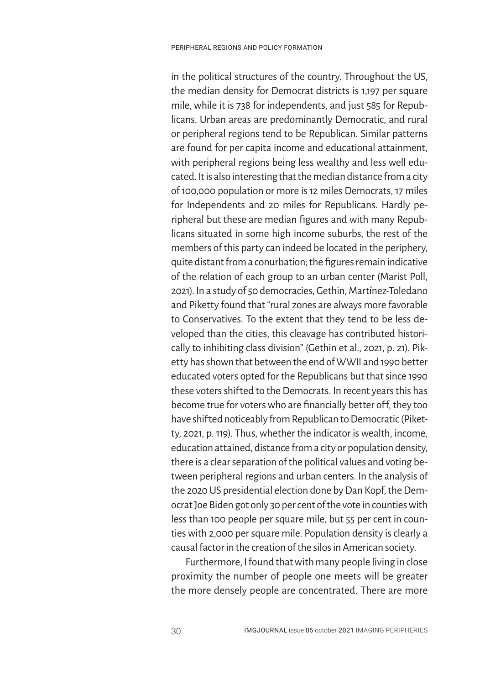in the political structures of the country. Throughout the US, the median density for Democrat districts is 1,197 per square mile, while it is 738 for independents, and just 585 for Republicans. Urban areas are predominantly Democratic, and rural or peripheral regions tend to be Republican. Similar patterns are found for per capita income and educational attainment, with peripheral regions being less wealthy and less well educated. It is also interesting that the median distance from a city of 100,000 population or more is 12 miles Democrats, 17 miles for Independents and 20 miles for Republicans. Hardly peripheral but these are median figures and with many Republicans situated in some high income suburbs, the rest of the members of this party can indeed be located in the periphery, quite distant from a conurbation; the figures remain indicative of the relation of each group to an urban center (Marist Poll, 2021). In a study of 50 democracies, Gethin, Martínez-Toledano and Piketty found that "rural zones are always more favorable to Conservatives. To the extent that they tend to be less developed than the cities, this cleavage has contributed historically to inhibiting class division" (Gethin et al., 2021, p. 21). Piketty has shown that between the end of WWII and 1990 better educated voters opted for the Republicans but that since 1990 these voters shifted to the Democrats. In recent years this has become true for voters who are financially better off, they too have shifted noticeably from Republican to Democratic (Piketty, 2021, p. 119). Thus, whether the indicator is wealth, income, education attained, distance from a city or population density, there is a clear separation of the political values and voting between peripheral regions and urban centers. In the analysis of the 2020 US presidential election done by Dan Kopf, the Democrat Joe Biden got only 30 per cent of the vote in counties with less than 100 people per square mile, but 55 per cent in counties with 2,000 per square mile. Population density is clearly a causal factor in the creation of the silos in American society.

Furthermore, I found that with many people living in close proximity the number of people one meets will be greater the more densely people are concentrated. There are more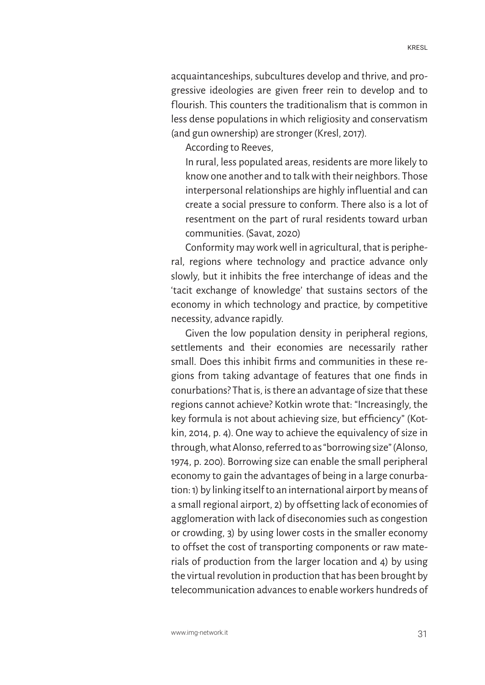acquaintanceships, subcultures develop and thrive, and progressive ideologies are given freer rein to develop and to flourish. This counters the traditionalism that is common in less dense populations in which religiosity and conservatism (and gun ownership) are stronger (Kresl, 2017).

According to Reeves,

In rural, less populated areas, residents are more likely to know one another and to talk with their neighbors. Those interpersonal relationships are highly influential and can create a social pressure to conform. There also is a lot of resentment on the part of rural residents toward urban communities. (Savat, 2020)

Conformity may work well in agricultural, that is peripheral, regions where technology and practice advance only slowly, but it inhibits the free interchange of ideas and the 'tacit exchange of knowledge' that sustains sectors of the economy in which technology and practice, by competitive necessity, advance rapidly.

Given the low population density in peripheral regions, settlements and their economies are necessarily rather small. Does this inhibit firms and communities in these regions from taking advantage of features that one finds in conurbations? That is, is there an advantage of size that these regions cannot achieve? Kotkin wrote that: "Increasingly, the key formula is not about achieving size, but efficiency" (Kotkin, 2014, p. 4). One way to achieve the equivalency of size in through, what Alonso, referred to as "borrowing size" (Alonso, 1974, p. 200). Borrowing size can enable the small peripheral economy to gain the advantages of being in a large conurbation: 1) by linking itself to an international airport by means of a small regional airport, 2) by offsetting lack of economies of agglomeration with lack of diseconomies such as congestion or crowding, 3) by using lower costs in the smaller economy to offset the cost of transporting components or raw materials of production from the larger location and 4) by using the virtual revolution in production that has been brought by telecommunication advances to enable workers hundreds of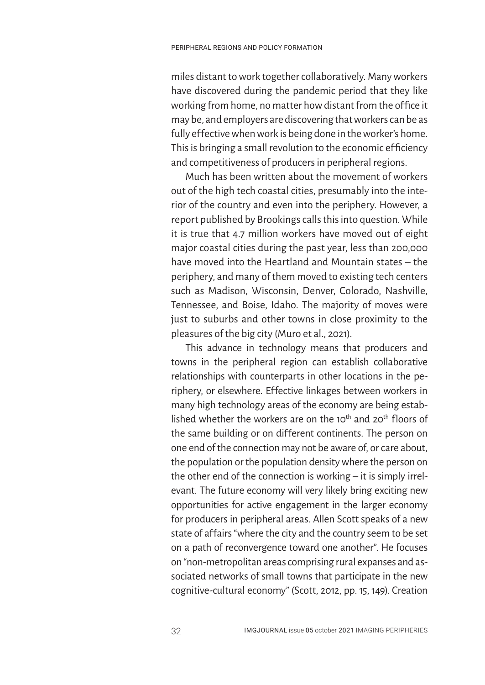miles distant to work together collaboratively. Many workers have discovered during the pandemic period that they like working from home, no matter how distant from the office it may be, and employers are discovering that workers can be as fully effective when work is being done in the worker's home. This is bringing a small revolution to the economic efficiency and competitiveness of producers in peripheral regions.

Much has been written about the movement of workers out of the high tech coastal cities, presumably into the interior of the country and even into the periphery. However, a report published by Brookings calls this into question. While it is true that 4.7 million workers have moved out of eight major coastal cities during the past year, less than 200,000 have moved into the Heartland and Mountain states – the periphery, and many of them moved to existing tech centers such as Madison, Wisconsin, Denver, Colorado, Nashville, Tennessee, and Boise, Idaho. The majority of moves were just to suburbs and other towns in close proximity to the pleasures of the big city (Muro et al., 2021).

This advance in technology means that producers and towns in the peripheral region can establish collaborative relationships with counterparts in other locations in the periphery, or elsewhere. Effective linkages between workers in many high technology areas of the economy are being established whether the workers are on the 10<sup>th</sup> and 20<sup>th</sup> floors of the same building or on different continents. The person on one end of the connection may not be aware of, or care about, the population or the population density where the person on the other end of the connection is working – it is simply irrelevant. The future economy will very likely bring exciting new opportunities for active engagement in the larger economy for producers in peripheral areas. Allen Scott speaks of a new state of affairs "where the city and the country seem to be set on a path of reconvergence toward one another". He focuses on "non-metropolitan areas comprising rural expanses and associated networks of small towns that participate in the new cognitive-cultural economy" (Scott, 2012, pp. 15, 149). Creation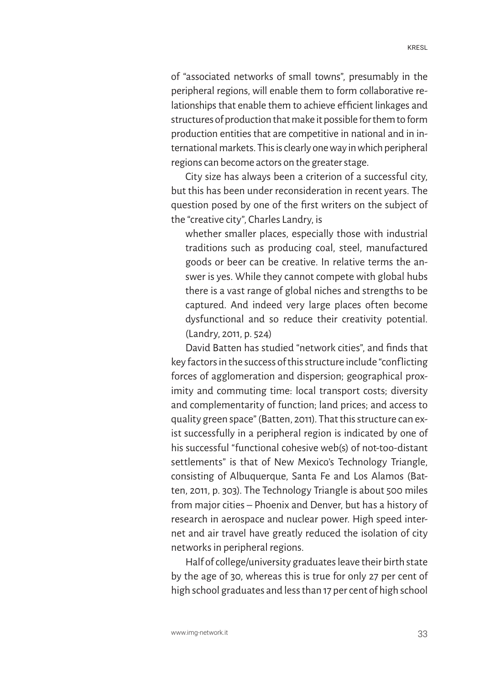of "associated networks of small towns", presumably in the peripheral regions, will enable them to form collaborative relationships that enable them to achieve efficient linkages and structures of production that make it possible for them to form production entities that are competitive in national and in international markets. This is clearly one way in which peripheral regions can become actors on the greater stage.

City size has always been a criterion of a successful city, but this has been under reconsideration in recent years. The question posed by one of the first writers on the subject of the "creative city", Charles Landry, is

whether smaller places, especially those with industrial traditions such as producing coal, steel, manufactured goods or beer can be creative. In relative terms the answer is yes. While they cannot compete with global hubs there is a vast range of global niches and strengths to be captured. And indeed very large places often become dysfunctional and so reduce their creativity potential. (Landry, 2011, p. 524)

David Batten has studied "network cities", and finds that key factors in the success of this structure include "conflicting forces of agglomeration and dispersion; geographical proximity and commuting time: local transport costs; diversity and complementarity of function; land prices; and access to quality green space" (Batten, 2011). That this structure can exist successfully in a peripheral region is indicated by one of his successful "functional cohesive web(s) of not-too-distant settlements" is that of New Mexico's Technology Triangle, consisting of Albuquerque, Santa Fe and Los Alamos (Batten, 2011, p. 303). The Technology Triangle is about 500 miles from major cities – Phoenix and Denver, but has a history of research in aerospace and nuclear power. High speed internet and air travel have greatly reduced the isolation of city networks in peripheral regions.

Half of college/university graduates leave their birth state by the age of 30, whereas this is true for only 27 per cent of high school graduates and less than 17 per cent of high school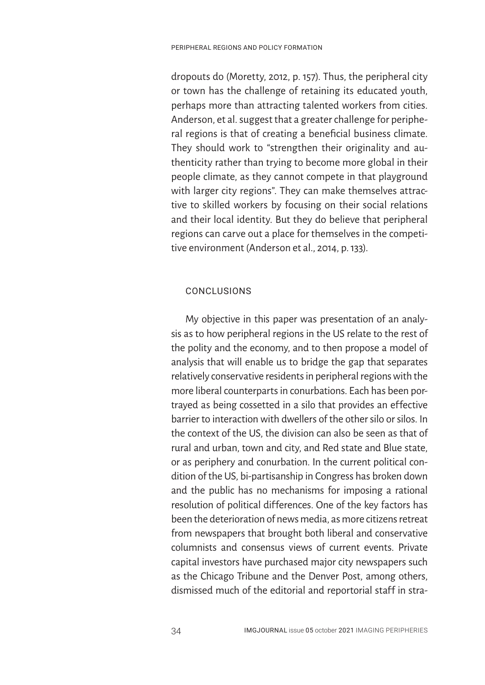dropouts do (Moretty, 2012, p. 157). Thus, the peripheral city or town has the challenge of retaining its educated youth, perhaps more than attracting talented workers from cities. Anderson, et al. suggest that a greater challenge for peripheral regions is that of creating a beneficial business climate. They should work to "strengthen their originality and authenticity rather than trying to become more global in their people climate, as they cannot compete in that playground with larger city regions". They can make themselves attractive to skilled workers by focusing on their social relations and their local identity. But they do believe that peripheral regions can carve out a place for themselves in the competitive environment (Anderson et al., 2014, p. 133).

## CONCLUSIONS

My objective in this paper was presentation of an analysis as to how peripheral regions in the US relate to the rest of the polity and the economy, and to then propose a model of analysis that will enable us to bridge the gap that separates relatively conservative residents in peripheral regions with the more liberal counterparts in conurbations. Each has been portrayed as being cossetted in a silo that provides an effective barrier to interaction with dwellers of the other silo or silos. In the context of the US, the division can also be seen as that of rural and urban, town and city, and Red state and Blue state, or as periphery and conurbation. In the current political condition of the US, bi-partisanship in Congress has broken down and the public has no mechanisms for imposing a rational resolution of political differences. One of the key factors has been the deterioration of news media, as more citizens retreat from newspapers that brought both liberal and conservative columnists and consensus views of current events. Private capital investors have purchased major city newspapers such as the Chicago Tribune and the Denver Post, among others, dismissed much of the editorial and reportorial staff in stra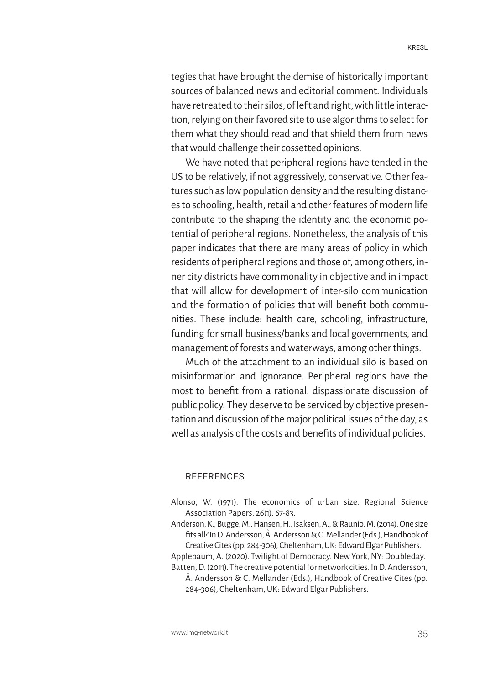tegies that have brought the demise of historically important sources of balanced news and editorial comment. Individuals have retreated to their silos, of left and right, with little interaction, relying on their favored site to use algorithms to select for them what they should read and that shield them from news that would challenge their cossetted opinions.

We have noted that peripheral regions have tended in the US to be relatively, if not aggressively, conservative. Other features such as low population density and the resulting distances to schooling, health, retail and other features of modern life contribute to the shaping the identity and the economic potential of peripheral regions. Nonetheless, the analysis of this paper indicates that there are many areas of policy in which residents of peripheral regions and those of, among others, inner city districts have commonality in objective and in impact that will allow for development of inter-silo communication and the formation of policies that will benefit both communities. These include: health care, schooling, infrastructure, funding for small business/banks and local governments, and management of forests and waterways, among other things.

Much of the attachment to an individual silo is based on misinformation and ignorance. Peripheral regions have the most to benefit from a rational, dispassionate discussion of public policy. They deserve to be serviced by objective presentation and discussion of the major political issues of the day, as well as analysis of the costs and benefits of individual policies.

#### REFERENCES

- Alonso, W. (1971). The economics of urban size. Regional Science Association Papers, 26(1), 67-83.
- Anderson, K., Bugge, M., Hansen, H., Isaksen, A., & Raunio, M. (2014). One size fits all? In D. Andersson, Å. Andersson & C. Mellander (Eds.), Handbook of Creative Cites (pp. 284-306), Cheltenham, UK: Edward Elgar Publishers.
- Applebaum, A. (2020). Twilight of Democracy. New York, NY: Doubleday.

Batten, D. (2011). The creative potential for network cities. In D. Andersson, Å. Andersson & C. Mellander (Eds.), Handbook of Creative Cites (pp. 284-306), Cheltenham, UK: Edward Elgar Publishers.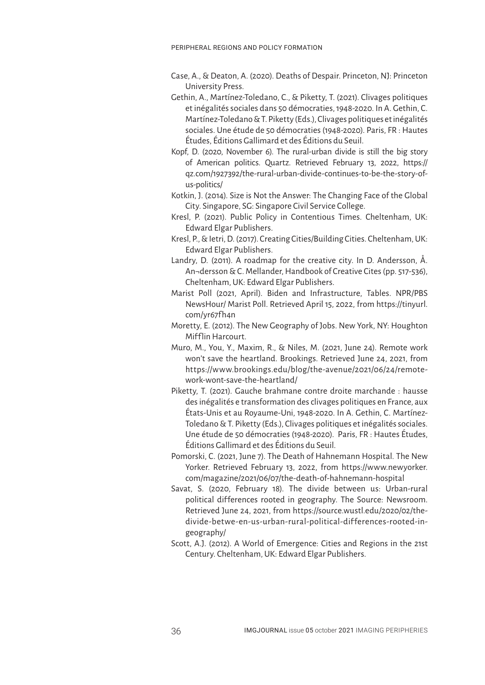- Case, A., & Deaton, A. (2020). Deaths of Despair. Princeton, NJ: Princeton University Press.
- Gethin, A., Martínez-Toledano, C., & Piketty, T. (2021). Clivages politiques et inégalités sociales dans 50 démocraties, 1948-2020. In A. Gethin, C. Martínez-Toledano & T. Piketty (Eds.), Clivages politiques et inégalités sociales. Une étude de 50 démocraties (1948-2020). Paris, FR : Hautes Études, Éditions Gallimard et des Éditions du Seuil.
- Kopf, D. (2020, November 6). The rural-urban divide is still the big story of American politics. Quartz. Retrieved February 13, 2022, https:// qz.com/1927392/the-rural-urban-divide-continues-to-be-the-story-ofus-politics/
- Kotkin, J. (2014). Size is Not the Answer: The Changing Face of the Global City. Singapore, SG: Singapore Civil Service College.
- Kresl, P. (2021). Public Policy in Contentious Times. Cheltenham, UK: Edward Elgar Publishers.
- Kresl, P., & Ietri, D. (2017). Creating Cities/Building Cities. Cheltenham, UK: Edward Elgar Publishers.
- Landry, D. (2011). A roadmap for the creative city. In D. Andersson, Å. An¬dersson & C. Mellander, Handbook of Creative Cites (pp. 517-536), Cheltenham, UK: Edward Elgar Publishers.
- Marist Poll (2021, April). Biden and Infrastructure, Tables. NPR/PBS NewsHour/ Marist Poll. Retrieved April 15, 2022, from https://tinyurl. com/yr67fh4n
- Moretty, E. (2012). The New Geography of Jobs. New York, NY: Houghton Mifflin Harcourt.
- Muro, M., You, Y., Maxim, R., & Niles, M. (2021, June 24). Remote work won't save the heartland. Brookings. Retrieved June 24, 2021, from https://www.brookings.edu/blog/the-avenue/2021/06/24/remotework-wont-save-the-heartland/
- Piketty, T. (2021). Gauche brahmane contre droite marchande : hausse des inégalités e transformation des clivages politiques en France, aux États-Unis et au Royaume-Uni, 1948-2020. In A. Gethin, C. Martínez-Toledano & T. Piketty (Eds.), Clivages politiques et inégalités sociales. Une étude de 50 démocraties (1948-2020). Paris, FR : Hautes Études, Éditions Gallimard et des Éditions du Seuil.
- Pomorski, C. (2021, June 7). The Death of Hahnemann Hospital. The New Yorker. Retrieved February 13, 2022, from https://www.newyorker. com/magazine/2021/06/07/the-death-of-hahnemann-hospital
- Savat, S. (2020, February 18). The divide between us: Urban-rural political dif ferences rooted in geography. The Source: Newsroom. Retrieved June 24, 2021, from https://source.wustl.edu/2020/02/thedivide-betwe-en-us-urban-rural-political-dif ferences-rooted-ingeography/
- Scott, A.J. (2012). A World of Emergence: Cities and Regions in the 21st Century. Cheltenham, UK: Edward Elgar Publishers.